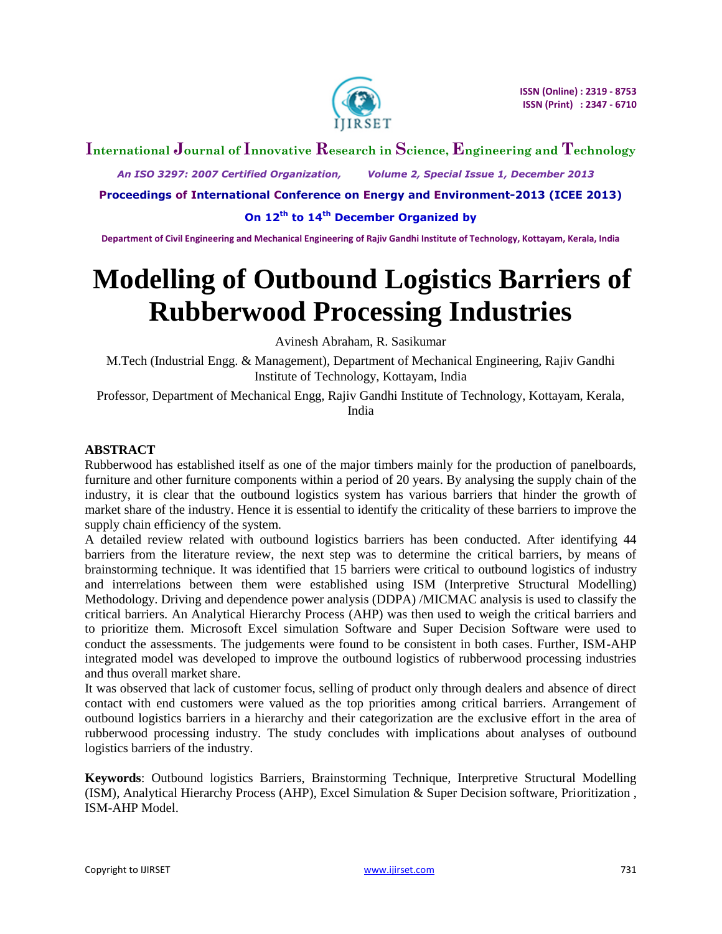

# **International Journal of Innovative Research in Science, Engineering and Technology**

 *An ISO 3297: 2007 Certified Organization, Volume 2, Special Issue 1, December 2013*

**Proceedings of International Conference on Energy and Environment-2013 (ICEE 2013)**

**On 12th to 14th December Organized by**

**Department of Civil Engineering and Mechanical Engineering of Rajiv Gandhi Institute of Technology, Kottayam, Kerala, India**

# **Modelling of Outbound Logistics Barriers of Rubberwood Processing Industries**

Avinesh Abraham, R. Sasikumar

M.Tech (Industrial Engg. & Management), Department of Mechanical Engineering, Rajiv Gandhi Institute of Technology, Kottayam, India

Professor, Department of Mechanical Engg, Rajiv Gandhi Institute of Technology, Kottayam, Kerala, India

# **ABSTRACT**

Rubberwood has established itself as one of the major timbers mainly for the production of panelboards, furniture and other furniture components within a period of 20 years. By analysing the supply chain of the industry, it is clear that the outbound logistics system has various barriers that hinder the growth of market share of the industry. Hence it is essential to identify the criticality of these barriers to improve the supply chain efficiency of the system.

A detailed review related with outbound logistics barriers has been conducted. After identifying 44 barriers from the literature review, the next step was to determine the critical barriers, by means of brainstorming technique. It was identified that 15 barriers were critical to outbound logistics of industry and interrelations between them were established using ISM (Interpretive Structural Modelling) Methodology. Driving and dependence power analysis (DDPA) /MICMAC analysis is used to classify the critical barriers. An Analytical Hierarchy Process (AHP) was then used to weigh the critical barriers and to prioritize them. Microsoft Excel simulation Software and Super Decision Software were used to conduct the assessments. The judgements were found to be consistent in both cases. Further, ISM-AHP integrated model was developed to improve the outbound logistics of rubberwood processing industries and thus overall market share.

It was observed that lack of customer focus, selling of product only through dealers and absence of direct contact with end customers were valued as the top priorities among critical barriers. Arrangement of outbound logistics barriers in a hierarchy and their categorization are the exclusive effort in the area of rubberwood processing industry. The study concludes with implications about analyses of outbound logistics barriers of the industry.

**Keywords**: Outbound logistics Barriers, Brainstorming Technique, Interpretive Structural Modelling (ISM), Analytical Hierarchy Process (AHP), Excel Simulation & Super Decision software, Prioritization , ISM-AHP Model.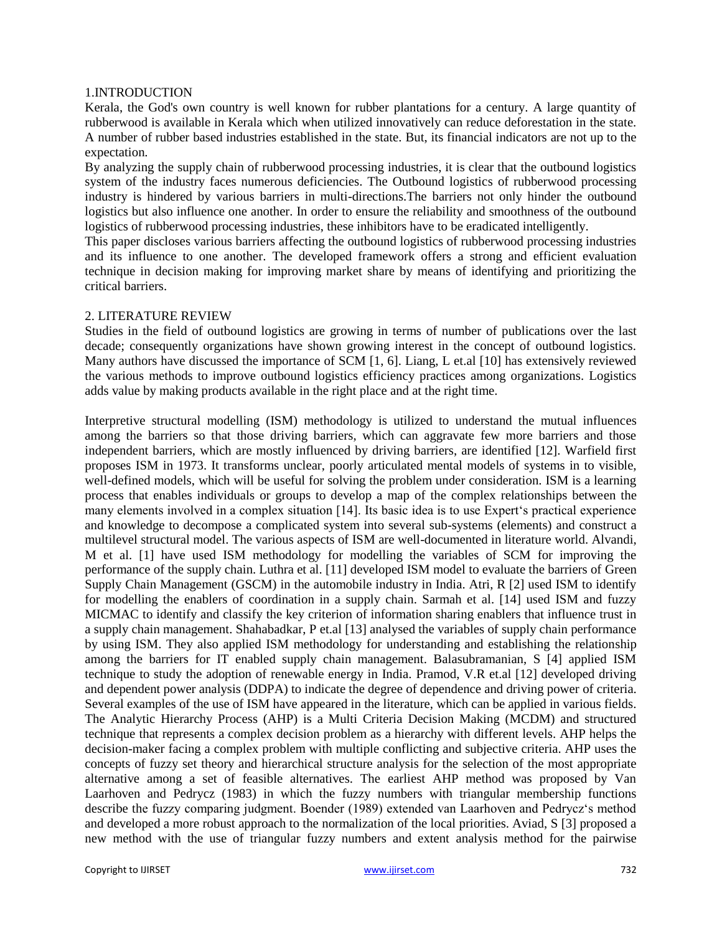#### 1.INTRODUCTION

Kerala, the God's own country is well known for rubber plantations for a century. A large quantity of rubberwood is available in Kerala which when utilized innovatively can reduce deforestation in the state. A number of rubber based industries established in the state. But, its financial indicators are not up to the expectation.

By analyzing the supply chain of rubberwood processing industries, it is clear that the outbound logistics system of the industry faces numerous deficiencies. The Outbound logistics of rubberwood processing industry is hindered by various barriers in multi-directions.The barriers not only hinder the outbound logistics but also influence one another. In order to ensure the reliability and smoothness of the outbound logistics of rubberwood processing industries, these inhibitors have to be eradicated intelligently.

This paper discloses various barriers affecting the outbound logistics of rubberwood processing industries and its influence to one another. The developed framework offers a strong and efficient evaluation technique in decision making for improving market share by means of identifying and prioritizing the critical barriers.

#### 2. LITERATURE REVIEW

Studies in the field of outbound logistics are growing in terms of number of publications over the last decade; consequently organizations have shown growing interest in the concept of outbound logistics. Many authors have discussed the importance of SCM [1, 6]. Liang, L et.al [10] has extensively reviewed the various methods to improve outbound logistics efficiency practices among organizations. Logistics adds value by making products available in the right place and at the right time.

Interpretive structural modelling (ISM) methodology is utilized to understand the mutual influences among the barriers so that those driving barriers, which can aggravate few more barriers and those independent barriers, which are mostly influenced by driving barriers, are identified [12]. Warfield first proposes ISM in 1973. It transforms unclear, poorly articulated mental models of systems in to visible, well-defined models, which will be useful for solving the problem under consideration. ISM is a learning process that enables individuals or groups to develop a map of the complex relationships between the many elements involved in a complex situation [14]. Its basic idea is to use Expert's practical experience and knowledge to decompose a complicated system into several sub-systems (elements) and construct a multilevel structural model. The various aspects of ISM are well-documented in literature world. Alvandi, M et al. [1] have used ISM methodology for modelling the variables of SCM for improving the performance of the supply chain. Luthra et al. [11] developed ISM model to evaluate the barriers of Green Supply Chain Management (GSCM) in the automobile industry in India. Atri, R [2] used ISM to identify for modelling the enablers of coordination in a supply chain. Sarmah et al. [14] used ISM and fuzzy MICMAC to identify and classify the key criterion of information sharing enablers that influence trust in a supply chain management. Shahabadkar, P et.al [13] analysed the variables of supply chain performance by using ISM. They also applied ISM methodology for understanding and establishing the relationship among the barriers for IT enabled supply chain management. Balasubramanian, S [4] applied ISM technique to study the adoption of renewable energy in India. Pramod, V.R et.al [12] developed driving and dependent power analysis (DDPA) to indicate the degree of dependence and driving power of criteria. Several examples of the use of ISM have appeared in the literature, which can be applied in various fields. The Analytic Hierarchy Process (AHP) is a Multi Criteria Decision Making (MCDM) and structured technique that represents a complex decision problem as a hierarchy with different levels. AHP helps the decision-maker facing a complex problem with multiple conflicting and subjective criteria. AHP uses the concepts of fuzzy set theory and hierarchical structure analysis for the selection of the most appropriate alternative among a set of feasible alternatives. The earliest AHP method was proposed by Van Laarhoven and Pedrycz (1983) in which the fuzzy numbers with triangular membership functions describe the fuzzy comparing judgment. Boender (1989) extended van Laarhoven and Pedrycz's method and developed a more robust approach to the normalization of the local priorities. Aviad, S [3] proposed a new method with the use of triangular fuzzy numbers and extent analysis method for the pairwise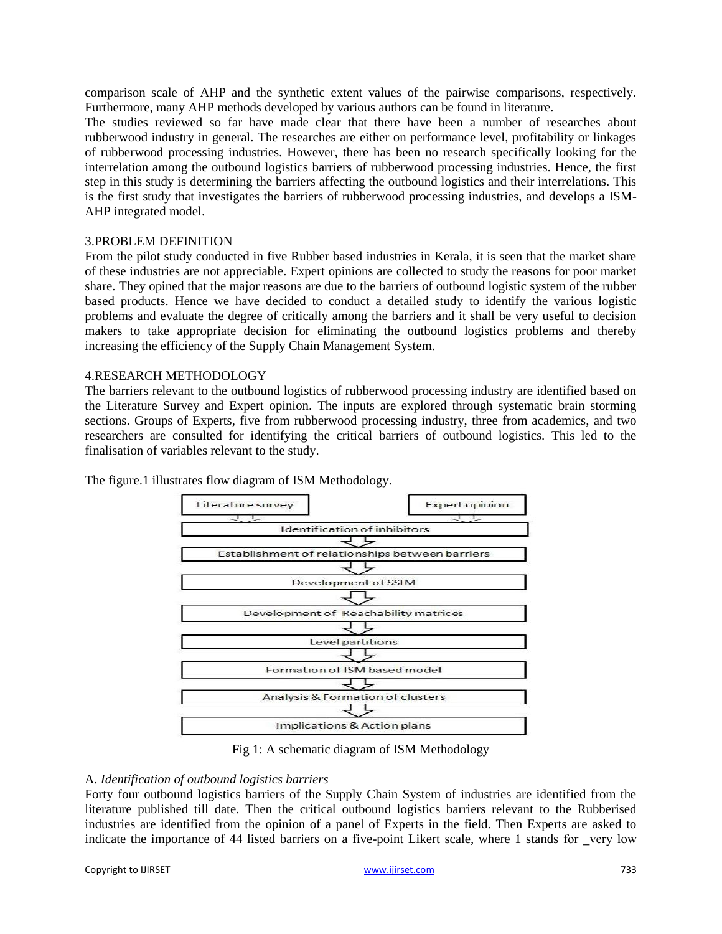comparison scale of AHP and the synthetic extent values of the pairwise comparisons, respectively. Furthermore, many AHP methods developed by various authors can be found in literature.

The studies reviewed so far have made clear that there have been a number of researches about rubberwood industry in general. The researches are either on performance level, profitability or linkages of rubberwood processing industries. However, there has been no research specifically looking for the interrelation among the outbound logistics barriers of rubberwood processing industries. Hence, the first step in this study is determining the barriers affecting the outbound logistics and their interrelations. This is the first study that investigates the barriers of rubberwood processing industries, and develops a ISM-AHP integrated model.

#### 3.PROBLEM DEFINITION

From the pilot study conducted in five Rubber based industries in Kerala, it is seen that the market share of these industries are not appreciable. Expert opinions are collected to study the reasons for poor market share. They opined that the major reasons are due to the barriers of outbound logistic system of the rubber based products. Hence we have decided to conduct a detailed study to identify the various logistic problems and evaluate the degree of critically among the barriers and it shall be very useful to decision makers to take appropriate decision for eliminating the outbound logistics problems and thereby increasing the efficiency of the Supply Chain Management System.

### 4.RESEARCH METHODOLOGY

The barriers relevant to the outbound logistics of rubberwood processing industry are identified based on the Literature Survey and Expert opinion. The inputs are explored through systematic brain storming sections. Groups of Experts, five from rubberwood processing industry, three from academics, and two researchers are consulted for identifying the critical barriers of outbound logistics. This led to the finalisation of variables relevant to the study.



The figure.1 illustrates flow diagram of ISM Methodology.

Fig 1: A schematic diagram of ISM Methodology

# A. *Identification of outbound logistics barriers*

Forty four outbound logistics barriers of the Supply Chain System of industries are identified from the literature published till date. Then the critical outbound logistics barriers relevant to the Rubberised industries are identified from the opinion of a panel of Experts in the field. Then Experts are asked to indicate the importance of 44 listed barriers on a five-point Likert scale, where 1 stands for very low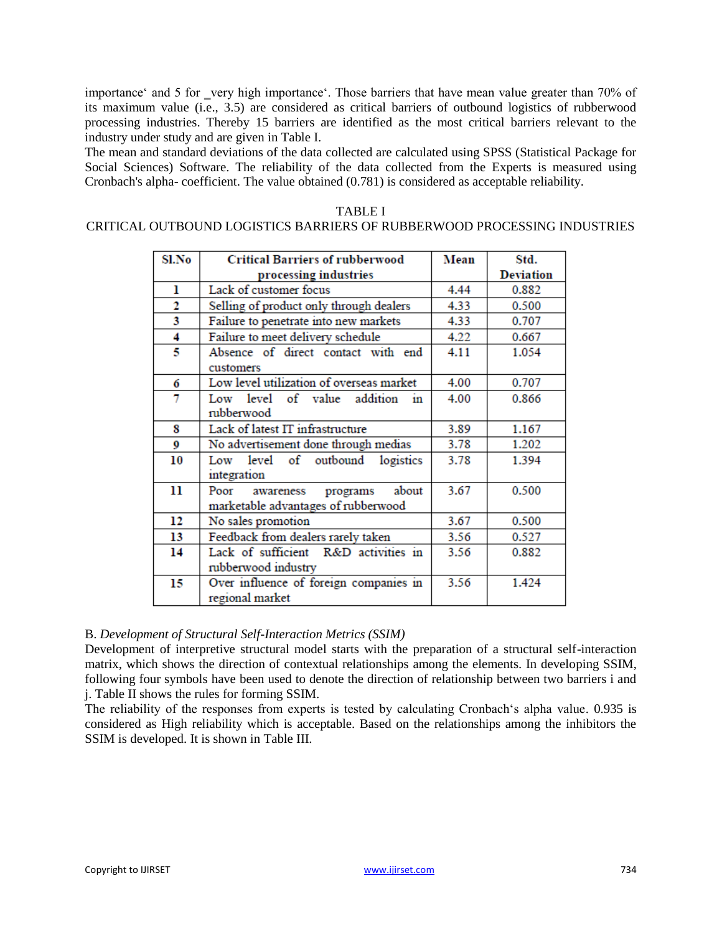importance' and 5 for very high importance'. Those barriers that have mean value greater than 70% of its maximum value (i.e., 3.5) are considered as critical barriers of outbound logistics of rubberwood processing industries. Thereby 15 barriers are identified as the most critical barriers relevant to the industry under study and are given in Table I.

The mean and standard deviations of the data collected are calculated using SPSS (Statistical Package for Social Sciences) Software. The reliability of the data collected from the Experts is measured using Cronbach's alpha- coefficient. The value obtained (0.781) is considered as acceptable reliability.

### TABLE I CRITICAL OUTBOUND LOGISTICS BARRIERS OF RUBBERWOOD PROCESSING INDUSTRIES

| Sl.No | <b>Critical Barriers of rubberwood</b>   | Mean | Std.      |
|-------|------------------------------------------|------|-----------|
|       | processing industries                    |      | Deviation |
| ı     | Lack of customer focus                   | 4.44 | 0.882     |
| 2     | Selling of product only through dealers  | 4.33 | 0.500     |
| 3     | Failure to penetrate into new markets    | 4.33 | 0.707     |
| 4     | Failure to meet delivery schedule        | 4.22 | 0.667     |
| 5     | Absence of direct contact with end       | 4.11 | 1.054     |
|       | customers                                |      |           |
| 6     | Low level utilization of overseas market | 4.00 | 0.707     |
| 7     | Low level of value addition<br>11)       | 4.00 | 0.866     |
|       | rubberwood                               |      |           |
| 8     | Lack of latest IT infrastructure         | 3.89 | 1.167     |
| 9     | No advertisement done through medias     | 3.78 | 1.202     |
| 10    | Low level of outbound<br>logistics       | 3.78 | 1.394     |
|       | integration                              |      |           |
| 11    | about<br>Poor<br>programs<br>awareness   | 3.67 | 0.500     |
|       | marketable advantages of rubberwood      |      |           |
| 12    | No sales promotion                       | 3.67 | 0.500     |
| 13    | Feedback from dealers rarely taken       | 3.56 | 0.527     |
| 14    | Lack of sufficient R&D activities in     | 3.56 | 0.882     |
|       | rubberwood industry                      |      |           |
| 15    | Over influence of foreign companies in   | 3.56 | 1.424     |
|       | regional market                          |      |           |

# B. *Development of Structural Self-Interaction Metrics (SSIM)*

Development of interpretive structural model starts with the preparation of a structural self-interaction matrix, which shows the direction of contextual relationships among the elements. In developing SSIM, following four symbols have been used to denote the direction of relationship between two barriers i and j. Table II shows the rules for forming SSIM.

The reliability of the responses from experts is tested by calculating Cronbach's alpha value. 0.935 is considered as High reliability which is acceptable. Based on the relationships among the inhibitors the SSIM is developed. It is shown in Table III.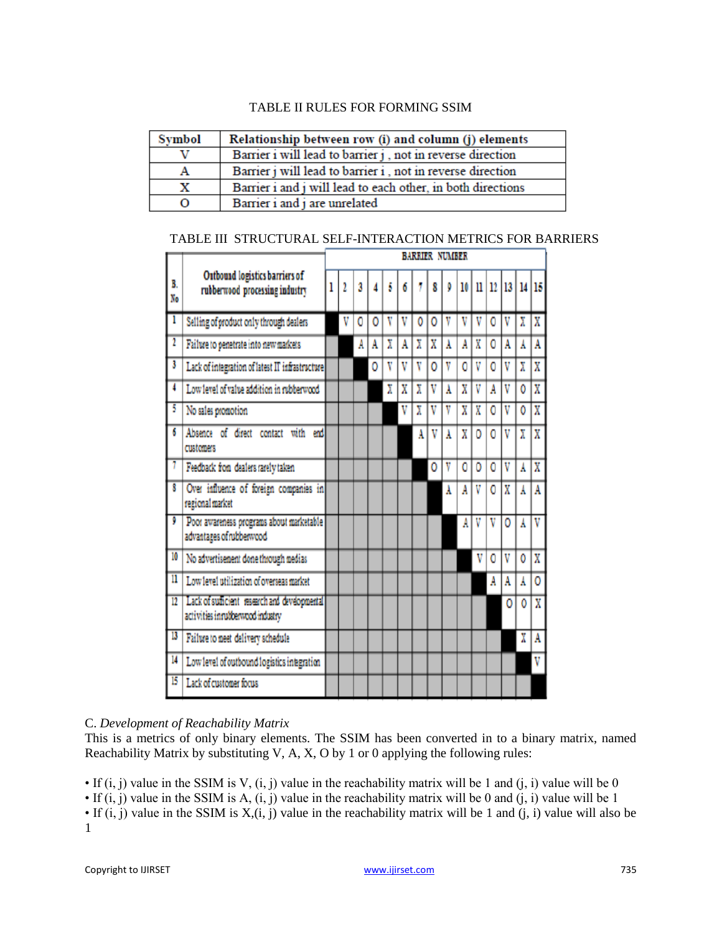# TABLE II RULES FOR FORMING SSIM

| Symbol | Relationship between row (i) and column (j) elements        |
|--------|-------------------------------------------------------------|
|        | Barrier i will lead to barrier j, not in reverse direction  |
| А      | Barrier j will lead to barrier i, not in reverse direction  |
| х      | Barrier i and j will lead to each other, in both directions |
| О      | Barrier i and j are unrelated                               |

|                 |                                                                                   | <b>BARRIER NUMBER</b> |   |   |   |   |   |   |   |   |    |   |    |                |       |                         |
|-----------------|-----------------------------------------------------------------------------------|-----------------------|---|---|---|---|---|---|---|---|----|---|----|----------------|-------|-------------------------|
| B.<br>No        | Outbound logistics barriers of<br>rubberwood processing industry                  |                       |   | 3 |   |   |   |   | 8 |   | 10 | H | 12 | 13             | 14 15 |                         |
| ī               | Selling of product only through dealers                                           |                       | V | ٥ | 0 | ٧ | V | 0 | 0 | V | V  | V | ٥  | V              | χ     | X                       |
| $\overline{1}$  | Failure to penetrate into new markets                                             |                       |   | A | A | X | A | X | X | Å | A  | X | Ō  | A              | Å     | A                       |
| 3               | Lack of integration of latest IT infrastructure                                   |                       |   |   | 0 | ٧ | V |   | 0 | V | 0  | V | O  | V              | X     | X                       |
| 4               | Low level of value addition in rubberwood                                         |                       |   |   |   | X | X | X | v | Ă | X  | V | A  | V              | Ô     | X                       |
| 5               | No sales promotion                                                                |                       |   |   |   |   | ۷ | χ | V | v | X  | X | ٥  | V              | 0     | X                       |
| Ġ               | Absence of direct contact with end<br>customers                                   |                       |   |   |   |   |   | A | V | Å | X  | Ō | ٥  | V              | X     | X                       |
| 1               | Feedback from dealers rarely taken                                                |                       |   |   |   |   |   |   | ٥ | V | ٥  | ٥ | ٥  | V              | Å     | X                       |
| Ŧ               | Over influence of foreign companies in<br>regional market                         |                       |   |   |   |   |   |   |   | Å | A  | v | 0  | $\overline{X}$ | Å     | Ā                       |
| Ţ               | Poor awareness programs about marketable<br>advantages of rubberwood              |                       |   |   |   |   |   |   |   |   | A  | V | V  | o              | Å     | $\overline{\text{v}}$   |
| 10              | No advertisement done through medias                                              |                       |   |   |   |   |   |   |   |   |    | V | ٥  | V              | Ō     | X                       |
| n               | Low level utilization of overseas market                                          |                       |   |   |   |   |   |   |   |   |    |   | A  | A              | Å     | 0                       |
| $\overline{12}$ | Lack of sufficient research and developmental<br>activities inrubberwood industry |                       |   |   |   |   |   |   |   |   |    |   |    | Ō              | 0     | $\overline{\texttt{x}}$ |
| 13              | Failure to meet delivery schedule                                                 |                       |   |   |   |   |   |   |   |   |    |   |    |                | X     | A                       |
| 14              | Low level of outbound logistics integration                                       |                       |   |   |   |   |   |   |   |   |    |   |    |                |       | V                       |
| 15              | Lack of customer focus                                                            |                       |   |   |   |   |   |   |   |   |    |   |    |                |       |                         |

# C. *Development of Reachability Matrix*

This is a metrics of only binary elements. The SSIM has been converted in to a binary matrix, named Reachability Matrix by substituting V, A, X, O by 1 or 0 applying the following rules:

• If  $(i, j)$  value in the SSIM is V,  $(i, j)$  value in the reachability matrix will be 1 and  $(i, i)$  value will be 0

• If  $(i, j)$  value in the SSIM is A,  $(i, j)$  value in the reachability matrix will be 0 and  $(i, i)$  value will be 1

• If  $(i, j)$  value in the SSIM is  $X_i(i, j)$  value in the reachability matrix will be 1 and  $(i, i)$  value will also be 1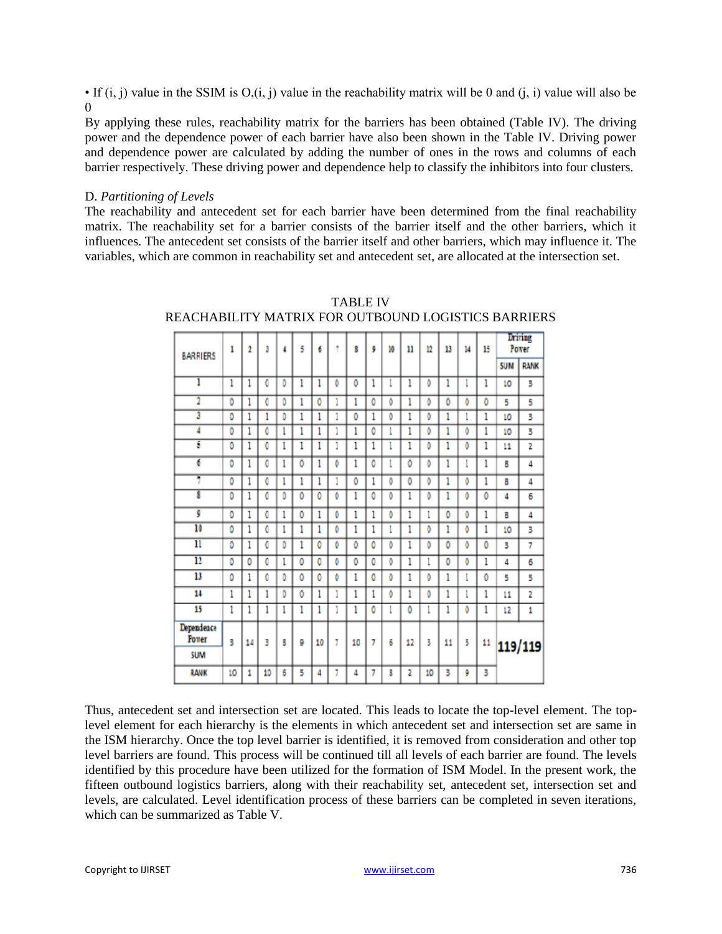• If (i, j) value in the SSIM is  $O_i(i, j)$  value in the reachability matrix will be 0 and (j, j) value will also be  $\Omega$ 

By applying these rules, reachability matrix for the barriers has been obtained (Table IV). The driving power and the dependence power of each barrier have also been shown in the Table IV. Driving power and dependence power are calculated by adding the number of ones in the rows and columns of each barrier respectively. These driving power and dependence help to classify the inhibitors into four clusters.

#### D. *Partitioning of Levels*

The reachability and antecedent set for each barrier have been determined from the final reachability matrix. The reachability set for a barrier consists of the barrier itself and the other barriers, which it influences. The antecedent set consists of the barrier itself and other barriers, which may influence it. The variables, which are common in reachability set and antecedent set, are allocated at the intersection set.

| <b>BARRIERS</b>            | 1  | $\overline{2}$ | 3  | 4 | š | 6  | ŧ | ŝ  | ğ | 10 | n  | 12 | 13 | 14 | 15 |            | <b>Driving</b><br>Power |
|----------------------------|----|----------------|----|---|---|----|---|----|---|----|----|----|----|----|----|------------|-------------------------|
|                            |    |                |    |   |   |    |   |    |   |    |    |    |    |    |    | <b>SUM</b> | <b>RANK</b>             |
| l                          | 1  | 1              | 0  | D | ı | 1  | O | ٥  | 1 | l  | 1  | ٥  | 1  |    | 1  | 10         | 3                       |
| 2                          | ٥  | 1              | Ô  | ٥ | 1 | Ô  | 1 | 1  | Ō | ô  | 1  | Ō  | ٥  | Ô  | 0  | 5          | 5                       |
| 3                          | ٥  | 1              | 1  | D | l | 1  | 1 | 0  | 1 | ٥  | 1  | ٥  | l  |    | 1  | 10         | 3                       |
| 4                          | Ō  | 1              | 0  | ı | ı | 1  |   | 1  | 0 |    | 1  | Ô  | 1  | Ō  | 1  | 10         | 3                       |
| ī                          | 0  | 1              | 0  | ı | l | 1  | 1 | 1  | 1 |    | 1  | ٥  | ı  | ٥  | 1  | 11         | 2                       |
| 6                          | 0  | 1              | 0  | ı | ٥ | 1  | ٥ | 1  | 0 |    | 0  | ٥  | ı  |    | 1  | 8          | 4                       |
| 7                          | ٥  | 1              | 0  | ı | 1 | 1  | 1 | 0  | 1 | ٥  | ٥  | ٥  | 1  | ٥  | 1  | 8          | 4                       |
| $\overline{\bm{s}}$        | Ō  | 1              | 0  | D | ٥ | 0  | Ō | 1  | ٥ | Ô  | 1  | O  | 1  | 0  | 0  | 4          | 6                       |
| g                          | 0  | 1              | 0  | 1 | 0 | 1  | 0 | 1  | 1 | Ô  | 1  | l  | 0  | O  | 1  | 8          | 4                       |
| 10                         | ٥  | 1              | Ō  | 1 | 1 | 1  | Ô | 1  | 1 | ı  | 1  | Ô  | 1  | ٥  | 1  | 10         | 3                       |
| π                          | 0  | 1              | 0  | D | 1 | 0  | O | 0  | 0 | ٥  | 1  | ٥  | ٥  | ٥  | 0  | 3          | 7                       |
| $\overline{11}$            | 0  | 0              | 0  | 1 | 0 | 0  | Ō | 0  | Ō | ٥  | 1  | l  | 0  | 0  | 1  | 4          | 6                       |
| 13                         | Ō  | 1              | 0  | D | ٥ | 0  | Ŏ | 1  | Ō | Ŏ  | 1  | Ŏ  | 1  |    | 0  | 5          | 5                       |
| 14                         | 1  | 1              | 1  | Ď | 0 | 1  | ĩ | 1  | 1 | ٥  | 1  | Ô  | 1  |    | 1  | 11         | 2                       |
| 15                         | 1  | 1              | 1  | 1 | ı | 1  | 1 | 1  | ٥ |    | Ô  | l  | 1  | ٥  | 1  | 12         | 1                       |
| Dependence<br><b>Power</b> | 3  | 14             | 3  | B | 9 | 10 | 7 | 10 | 7 | 6  | 12 | 3  | 11 | 5  | 11 |            | 119/119                 |
| <b>SUM</b>                 |    |                |    |   |   |    |   |    |   |    |    |    |    |    |    |            |                         |
| <b>RANK</b>                | 10 | 1              | 10 | 6 | 5 | 4  | 7 | 4  | 7 | 8  | 2  | 10 | 3  | 9  | 3  |            |                         |

TABLE IV REACHABILITY MATRIX FOR OUTBOUND LOGISTICS BARRIERS

Thus, antecedent set and intersection set are located. This leads to locate the top-level element. The toplevel element for each hierarchy is the elements in which antecedent set and intersection set are same in the ISM hierarchy. Once the top level barrier is identified, it is removed from consideration and other top level barriers are found. This process will be continued till all levels of each barrier are found. The levels identified by this procedure have been utilized for the formation of ISM Model. In the present work, the fifteen outbound logistics barriers, along with their reachability set, antecedent set, intersection set and levels, are calculated. Level identification process of these barriers can be completed in seven iterations, which can be summarized as Table V.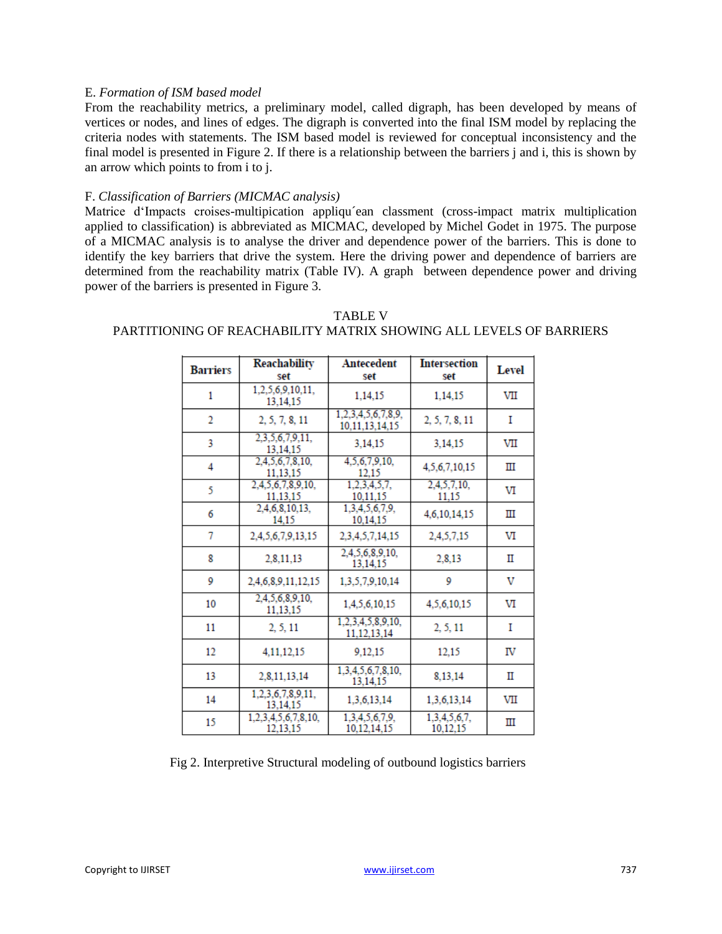#### E. *Formation of ISM based model*

From the reachability metrics, a preliminary model, called digraph, has been developed by means of vertices or nodes, and lines of edges. The digraph is converted into the final ISM model by replacing the criteria nodes with statements. The ISM based model is reviewed for conceptual inconsistency and the final model is presented in Figure 2. If there is a relationship between the barriers j and i, this is shown by an arrow which points to from i to j.

#### F. *Classification of Barriers (MICMAC analysis)*

Matrice d'Impacts croises-multipication appliqu´ean classment (cross-impact matrix multiplication applied to classification) is abbreviated as MICMAC, developed by Michel Godet in 1975. The purpose of a MICMAC analysis is to analyse the driver and dependence power of the barriers. This is done to identify the key barriers that drive the system. Here the driving power and dependence of barriers are determined from the reachability matrix (Table IV). A graph between dependence power and driving power of the barriers is presented in Figure 3.

| <b>Barriers</b> | Reachability                    | <b>Antecedent</b>                        | <b>Intersection</b>      | Level |
|-----------------|---------------------------------|------------------------------------------|--------------------------|-------|
|                 | set                             | set                                      | set                      |       |
| 1               | 1,2,5,6,9,10,11,<br>13.14.15    | 1,14,15                                  | 1,14,15                  | VII   |
| $\overline{2}$  | 2, 5, 7, 8, 11                  | 1,2,3,4,5,6,7,8,9,<br>10, 11, 13, 14, 15 | 2, 5, 7, 8, 11           | I     |
| 3               | 2,3,5,6,7,9,11,<br>13.14.15     | 3.14.15                                  | 3,14,15                  | VII   |
| 4               | 2,4,5,6,7,8,10,<br>11.13.15     | 4.5.6.7.9.10.<br>12.15                   | 4,5,6,7,10,15            | Ш     |
| 5               | 2,4,5,6,7,8,9,10,<br>11.13.15   | 1,2,3,4,5,7,<br>10,11,15                 | 2,4,5,7,10,<br>11.15     | VI    |
| 6               | 2,4,6,8,10,13,<br>14.15         | 1,3,4,5,6,7,9,<br>10.14.15               | 4,6,10,14,15             | ш     |
| 7               | 2.4.5.6.7.9.13.15               | 2,3,4,5,7,14,15                          | 2,4,5,7,15               | VI    |
| 8               | 2,8,11,13                       | 2,4,5,6,8,9,10,<br>13.14.15              | 2,8,13                   | П     |
| 9               | 2,4,6,8,9,11,12,15              | 1.3.5.7.9.10.14                          | 9                        | v     |
| 10              | 2,4,5,6,8,9,10,<br>11.13.15     | 1,4,5,6,10,15                            | 4.5.6.10.15              | VI    |
| 11              | 2, 5, 11                        | 1,2,3,4,5,8,9,10,<br>11, 12, 13, 14      | 2, 5, 11                 | I     |
| 12              | 4.11.12.15                      | 9.12.15                                  | 12.15                    | IV    |
| 13              | 2,8,11,13,14                    | 1.3.4.5.6.7.8.10.<br>13,14,15            | 8,13,14                  | П     |
| 14              | 1,2,3,6,7,8,9,11,<br>13.14.15   | 1,3,6,13,14                              | 1,3,6,13,14              | VII   |
| 15              | 1,2,3,4,5,6,7,8,10,<br>12.13.15 | 1,3,4,5,6,7,9,<br>10.12.14.15            | 1,3,4,5,6,7,<br>10.12.15 | Ш     |

# TABLE V PARTITIONING OF REACHABILITY MATRIX SHOWING ALL LEVELS OF BARRIERS

Fig 2. Interpretive Structural modeling of outbound logistics barriers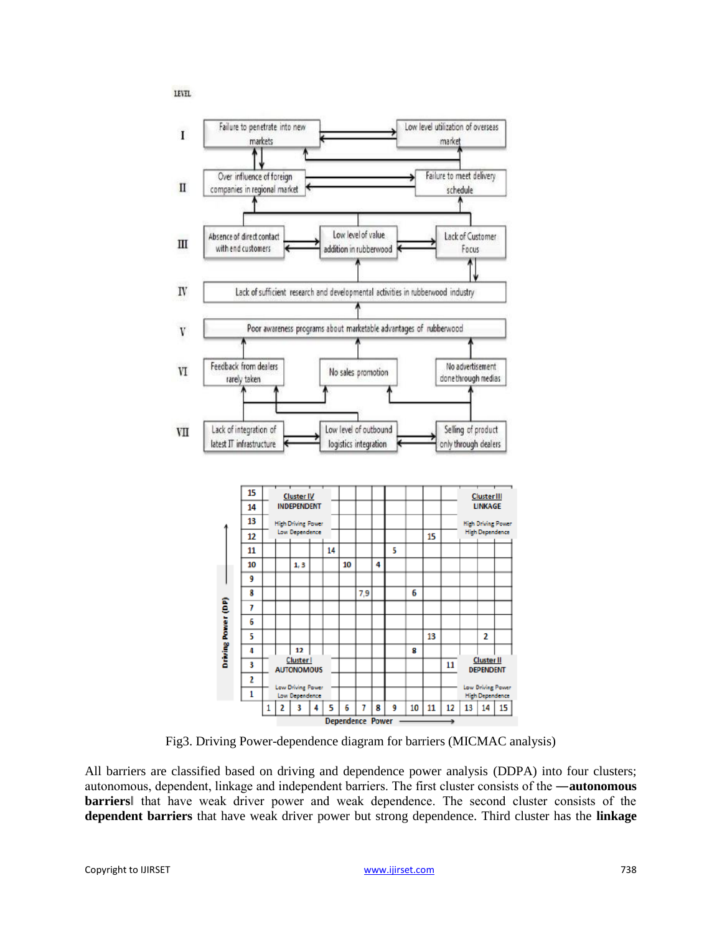



Fig3. Driving Power-dependence diagram for barriers (MICMAC analysis)

All barriers are classified based on driving and dependence power analysis (DDPA) into four clusters; autonomous, dependent, linkage and independent barriers. The first cluster consists of the ―**autonomous barriers**‖ that have weak driver power and weak dependence. The second cluster consists of the **dependent barriers** that have weak driver power but strong dependence. Third cluster has the **linkage**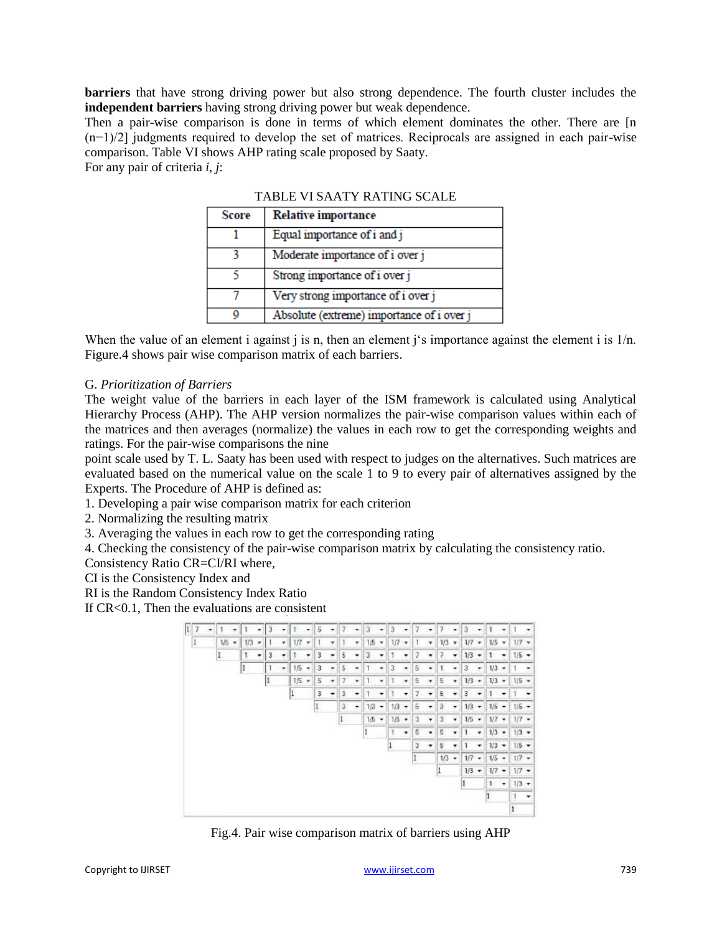**barriers** that have strong driving power but also strong dependence. The fourth cluster includes the **independent barriers** having strong driving power but weak dependence.

Then a pair-wise comparison is done in terms of which element dominates the other. There are [n (n−1)/2] judgments required to develop the set of matrices. Reciprocals are assigned in each pair-wise comparison. Table VI shows AHP rating scale proposed by Saaty.

For any pair of criteria *i, j*:

| TABLE VISAATY KATING SCALE |                                           |  |  |  |  |  |
|----------------------------|-------------------------------------------|--|--|--|--|--|
| Score                      | <b>Relative importance</b>                |  |  |  |  |  |
|                            | Equal importance of i and j               |  |  |  |  |  |
|                            | Moderate importance of i over j           |  |  |  |  |  |
|                            | Strong importance of i over j             |  |  |  |  |  |
|                            | Very strong importance of i over j        |  |  |  |  |  |
| Q                          | Absolute (extreme) importance of i over j |  |  |  |  |  |

TABLE VI SAATY RATING SCALE

When the value of an element i against j is n, then an element j's importance against the element i is  $1/n$ . Figure.4 shows pair wise comparison matrix of each barriers.

# G. *Prioritization of Barriers*

The weight value of the barriers in each layer of the ISM framework is calculated using Analytical Hierarchy Process (AHP). The AHP version normalizes the pair-wise comparison values within each of the matrices and then averages (normalize) the values in each row to get the corresponding weights and ratings. For the pair-wise comparisons the nine

point scale used by T. L. Saaty has been used with respect to judges on the alternatives. Such matrices are evaluated based on the numerical value on the scale 1 to 9 to every pair of alternatives assigned by the Experts. The Procedure of AHP is defined as:

1. Developing a pair wise comparison matrix for each criterion

2. Normalizing the resulting matrix

3. Averaging the values in each row to get the corresponding rating

4. Checking the consistency of the pair-wise comparison matrix by calculating the consistency ratio.

Consistency Ratio CR=CI/RI where,

CI is the Consistency Index and

RI is the Random Consistency Index Ratio

If CR<0.1, Then the evaluations are consistent



Fig.4. Pair wise comparison matrix of barriers using AHP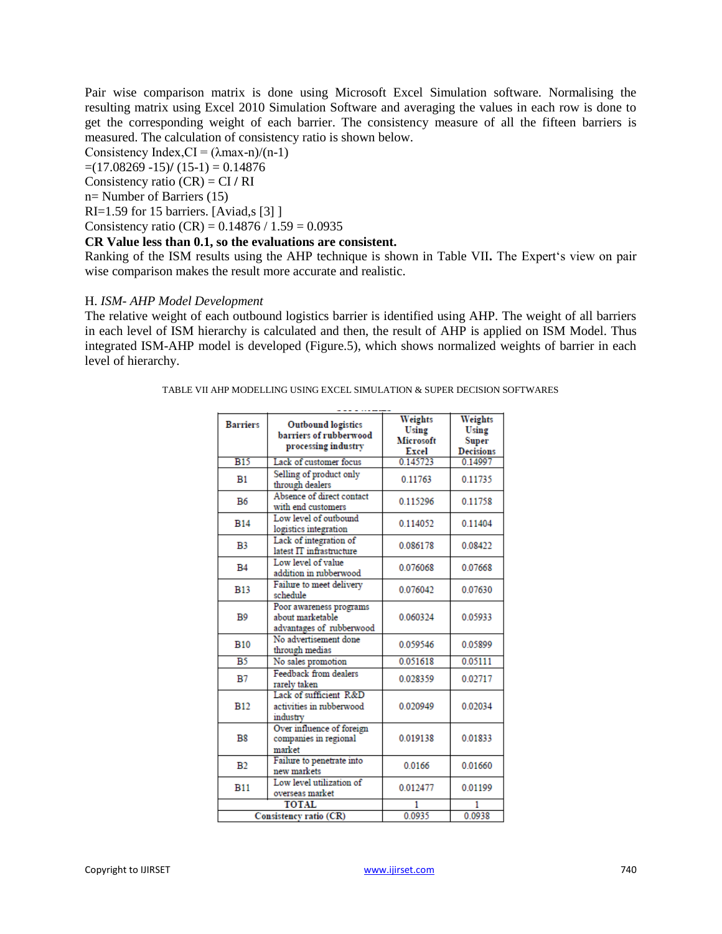Pair wise comparison matrix is done using Microsoft Excel Simulation software. Normalising the resulting matrix using Excel 2010 Simulation Software and averaging the values in each row is done to get the corresponding weight of each barrier. The consistency measure of all the fifteen barriers is measured. The calculation of consistency ratio is shown below.

Consistency Index, $CI = (\lambda max-n)/(n-1)$ 

 $=(17.08269 -15)$ / $(15-1) = 0.14876$ 

Consistency ratio (CR) = CI **/** RI

n= Number of Barriers (15)

RI=1.59 for 15 barriers. [Aviad,s [3] ]

Consistency ratio (CR) =  $0.14876 / 1.59 = 0.0935$ 

# **CR Value less than 0.1, so the evaluations are consistent.**

Ranking of the ISM results using the AHP technique is shown in Table VII**.** The Expert's view on pair wise comparison makes the result more accurate and realistic.

#### H. *ISM- AHP Model Development*

The relative weight of each outbound logistics barrier is identified using AHP. The weight of all barriers in each level of ISM hierarchy is calculated and then, the result of AHP is applied on ISM Model. Thus integrated ISM-AHP model is developed (Figure.5), which shows normalized weights of barrier in each level of hierarchy.

| TABLE VII AHP MODELLING USING EXCEL SIMULATION & SUPER DECISION SOFTWARES |  |  |
|---------------------------------------------------------------------------|--|--|
|                                                                           |  |  |

| <b>Barriers</b> | Outbound logistics<br>barriers of rubberwood<br>processing industry     | Weights<br>Using<br><b>Microsoft</b><br>Excel | Weights<br>Using<br>Super<br><b>Decisions</b> |
|-----------------|-------------------------------------------------------------------------|-----------------------------------------------|-----------------------------------------------|
| <b>B15</b>      | Lack of customer focus                                                  | 0.145723                                      | 0.14997                                       |
| B1              | Selling of product only<br>through dealers                              | 0.11763                                       | 0.11735                                       |
| B6              | Absence of direct contact<br>with end customers                         | 0.115296                                      | 0.11758                                       |
| <b>B14</b>      | Low level of outbound<br>logistics integration                          | 0.114052                                      | 0.11404                                       |
| B <sub>3</sub>  | Lack of integration of<br>latest IT infrastructure                      | 0.086178                                      | 0.08422                                       |
| <b>B4</b>       | Low level of value<br>addition in rubberwood                            | 0.076068                                      | 0.07668                                       |
| <b>B13</b>      | Failure to meet delivery<br>schedule                                    | 0.076042                                      | 0.07630                                       |
| <b>B</b> 9      | Poor awareness programs<br>about marketable<br>advantages of rubberwood | 0.060324                                      | 0.05933                                       |
| <b>B10</b>      | No advertisement done<br>through medias                                 | 0.059546                                      | 0.05899                                       |
| $\overline{B5}$ | No sales promotion                                                      | 0.051618                                      | 0.05111                                       |
| B7              | Feedback from dealers<br>rarely taken                                   | 0.028359                                      | 0.02717                                       |
| <b>B12</b>      | Lack of sufficient R&D<br>activities in rubberwood<br>industry          | 0.020949                                      | 0.02034                                       |
| B8              | Over influence of foreign<br>companies in regional<br>market            | 0.019138                                      | 0.01833                                       |
| B <sub>2</sub>  | Failure to penetrate into<br>new markets                                | 0.0166                                        | 0.01660                                       |
| <b>B11</b>      | Low level utilization of<br>overseas market                             | 0.012477                                      | 0.01199                                       |
|                 | <b>TOTAL</b>                                                            |                                               |                                               |
|                 | Consistency ratio (CR)                                                  | 0.0935                                        | 0.0938                                        |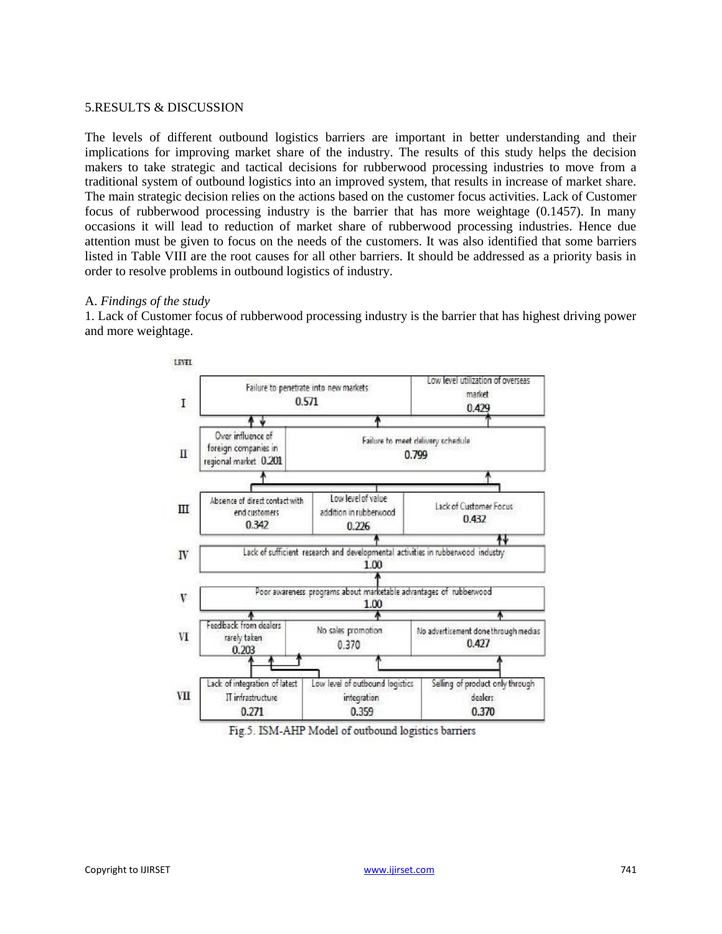#### 5.RESULTS & DISCUSSION

The levels of different outbound logistics barriers are important in better understanding and their implications for improving market share of the industry. The results of this study helps the decision makers to take strategic and tactical decisions for rubberwood processing industries to move from a traditional system of outbound logistics into an improved system, that results in increase of market share. The main strategic decision relies on the actions based on the customer focus activities. Lack of Customer focus of rubberwood processing industry is the barrier that has more weightage (0.1457). In many occasions it will lead to reduction of market share of rubberwood processing industries. Hence due attention must be given to focus on the needs of the customers. It was also identified that some barriers listed in Table VIII are the root causes for all other barriers. It should be addressed as a priority basis in order to resolve problems in outbound logistics of industry.

#### A. *Findings of the study*

1. Lack of Customer focus of rubberwood processing industry is the barrier that has highest driving power and more weightage.



Fig.5. ISM-AHP Model of outbound logistics barriers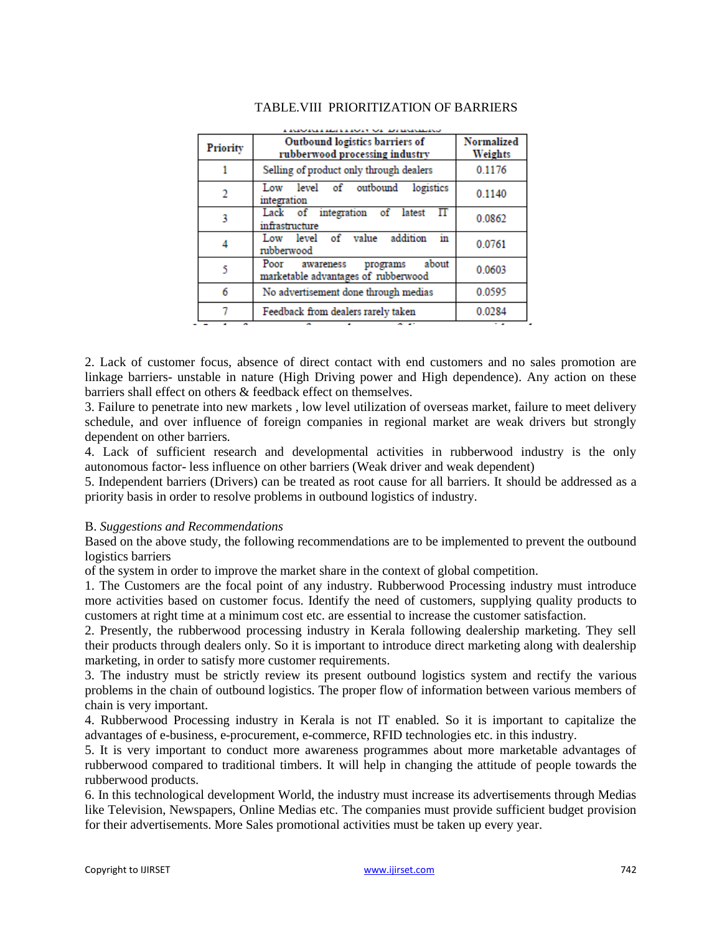| <b>Priority</b> | Outbound logistics barriers of<br>rubberwood processing industry           | Normalized<br>Weights |
|-----------------|----------------------------------------------------------------------------|-----------------------|
|                 | Selling of product only through dealers                                    | 0.1176                |
| $\overline{2}$  | Low level of outbound<br>logistics<br>integration                          | 0.1140                |
| 3               | Lack of integration of latest<br>П<br>infrastructure                       | 0.0862                |
| 4               | addition<br>Low level of value<br>ın<br>rubberwood                         | 0.0761                |
| 5               | about<br>Poor awareness<br>programs<br>marketable advantages of rubberwood | 0.0603                |
| 6               | No advertisement done through medias                                       | 0.0595                |
|                 | Feedback from dealers rarely taken                                         | 0.0284                |

# TABLE.VIII PRIORITIZATION OF BARRIERS

2. Lack of customer focus, absence of direct contact with end customers and no sales promotion are linkage barriers- unstable in nature (High Driving power and High dependence). Any action on these barriers shall effect on others & feedback effect on themselves.

3. Failure to penetrate into new markets , low level utilization of overseas market, failure to meet delivery schedule, and over influence of foreign companies in regional market are weak drivers but strongly dependent on other barriers.

4. Lack of sufficient research and developmental activities in rubberwood industry is the only autonomous factor- less influence on other barriers (Weak driver and weak dependent)

5. Independent barriers (Drivers) can be treated as root cause for all barriers. It should be addressed as a priority basis in order to resolve problems in outbound logistics of industry.

#### B. *Suggestions and Recommendations*

Based on the above study, the following recommendations are to be implemented to prevent the outbound logistics barriers

of the system in order to improve the market share in the context of global competition.

1. The Customers are the focal point of any industry. Rubberwood Processing industry must introduce more activities based on customer focus. Identify the need of customers, supplying quality products to customers at right time at a minimum cost etc. are essential to increase the customer satisfaction.

2. Presently, the rubberwood processing industry in Kerala following dealership marketing. They sell their products through dealers only. So it is important to introduce direct marketing along with dealership marketing, in order to satisfy more customer requirements.

3. The industry must be strictly review its present outbound logistics system and rectify the various problems in the chain of outbound logistics. The proper flow of information between various members of chain is very important.

4. Rubberwood Processing industry in Kerala is not IT enabled. So it is important to capitalize the advantages of e-business, e-procurement, e-commerce, RFID technologies etc. in this industry.

5. It is very important to conduct more awareness programmes about more marketable advantages of rubberwood compared to traditional timbers. It will help in changing the attitude of people towards the rubberwood products.

6. In this technological development World, the industry must increase its advertisements through Medias like Television, Newspapers, Online Medias etc. The companies must provide sufficient budget provision for their advertisements. More Sales promotional activities must be taken up every year.